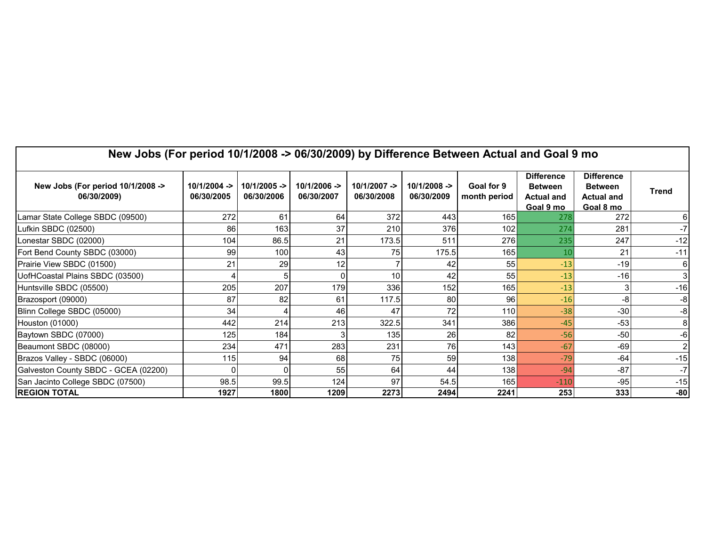| New Jobs (For period 10/1/2008 -> 06/30/2009) by Difference Between Actual and Goal 9 mo |                            |                            |                             |                            |                             |                            |                                                                       |                                                                       |       |  |  |
|------------------------------------------------------------------------------------------|----------------------------|----------------------------|-----------------------------|----------------------------|-----------------------------|----------------------------|-----------------------------------------------------------------------|-----------------------------------------------------------------------|-------|--|--|
| New Jobs (For period 10/1/2008 -><br>06/30/2009)                                         | 10/1/2004 -><br>06/30/2005 | 10/1/2005 -><br>06/30/2006 | $10/1/2006 -$<br>06/30/2007 | 10/1/2007 -><br>06/30/2008 | $10/1/2008 -$<br>06/30/2009 | Goal for 9<br>month period | <b>Difference</b><br><b>Between</b><br><b>Actual and</b><br>Goal 9 mo | <b>Difference</b><br><b>Between</b><br><b>Actual and</b><br>Goal 8 mo | Trend |  |  |
| Lamar State College SBDC (09500)                                                         | 272                        | 61                         | 64                          | 372                        | 443                         | 165 <sup>1</sup>           | 278                                                                   | 272                                                                   |       |  |  |
| Lufkin SBDC (02500)                                                                      | 86                         | 163                        | 37                          | 210                        | 376                         | 102                        | 274                                                                   | 281                                                                   | -7    |  |  |
| Lonestar SBDC (02000)                                                                    | 104                        | 86.5                       | 21                          | 173.5                      | 511                         | 276                        | 235                                                                   | 247                                                                   | $-12$ |  |  |
| Fort Bend County SBDC (03000)                                                            | 99                         | 100                        | 43                          | 75                         | 175.5                       | 165 <b>I</b>               | 10                                                                    | 21                                                                    | $-11$ |  |  |
| Prairie View SBDC (01500)                                                                | 21                         | 29                         | 12                          |                            | 42                          | 55                         | $-13$                                                                 | $-19$                                                                 |       |  |  |
| UofHCoastal Plains SBDC (03500)                                                          |                            | 5                          | 0                           | 10                         | 42                          | 55                         | $-13$                                                                 | $-16$                                                                 |       |  |  |
| Huntsville SBDC (05500)                                                                  | 205                        | 207                        | 179                         | 336                        | 152                         | 165                        | $-13$                                                                 | 3                                                                     | $-16$ |  |  |
| Brazosport (09000)                                                                       | 87                         | 82                         | 61                          | 117.5                      | 80                          | 96                         | $-16$                                                                 | -8                                                                    | -8    |  |  |
| Blinn College SBDC (05000)                                                               | 34                         |                            | 46                          | 47                         | 72                          | 110                        | $-38$                                                                 | $-30$                                                                 | -8    |  |  |
| Houston (01000)                                                                          | 442                        | 214                        | 213                         | 322.5                      | 341                         | 386                        | $-45$                                                                 | $-53$                                                                 |       |  |  |
| Baytown SBDC (07000)                                                                     | 125                        | 184                        |                             | 135                        | 26                          | 82                         | $-56$                                                                 | $-50$                                                                 |       |  |  |
| Beaumont SBDC (08000)                                                                    | 234                        | 471                        | 283                         | 231                        | 76                          | 143                        | $-67$                                                                 | $-69$                                                                 |       |  |  |
| Brazos Valley - SBDC (06000)                                                             | 115                        | 94                         | 68                          | 75                         | 59                          | 138 <sup>l</sup>           | $-79$                                                                 | $-64$                                                                 | $-15$ |  |  |
| Galveston County SBDC - GCEA (02200)                                                     |                            | 0                          | 55                          | 64                         | 44                          | 138                        | $-94$                                                                 | $-87$                                                                 | -7    |  |  |
| San Jacinto College SBDC (07500)                                                         | 98.5                       | 99.5                       | 124                         | 97                         | 54.5                        | 165                        | $-110$                                                                | $-95$                                                                 | $-15$ |  |  |
| <b>REGION TOTAL</b>                                                                      | 1927                       | 1800                       | 1209                        | 2273                       | 2494                        | 2241                       | 253                                                                   | 333                                                                   | $-80$ |  |  |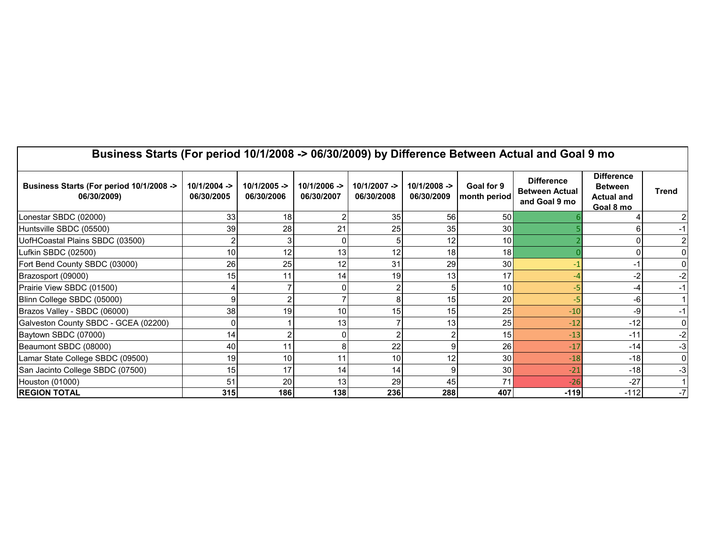| Business Starts (For period 10/1/2008 -> 06/30/2009) by Difference Between Actual and Goal 9 mo |                             |                             |                            |                             |                             |                            |                                                             |                                                                       |       |  |  |  |
|-------------------------------------------------------------------------------------------------|-----------------------------|-----------------------------|----------------------------|-----------------------------|-----------------------------|----------------------------|-------------------------------------------------------------|-----------------------------------------------------------------------|-------|--|--|--|
| Business Starts (For period 10/1/2008 -><br>06/30/2009)                                         | $10/1/2004 -$<br>06/30/2005 | $10/1/2005 -$<br>06/30/2006 | 10/1/2006 -><br>06/30/2007 | $10/1/2007 -$<br>06/30/2008 | $10/1/2008 -$<br>06/30/2009 | Goal for 9<br>month period | <b>Difference</b><br><b>Between Actual</b><br>and Goal 9 mo | <b>Difference</b><br><b>Between</b><br><b>Actual and</b><br>Goal 8 mo | Trend |  |  |  |
| Lonestar SBDC (02000)                                                                           | 33                          | 18 <sup>l</sup>             |                            | 35                          | 56                          | 50                         |                                                             |                                                                       |       |  |  |  |
| Huntsville SBDC (05500)                                                                         | 39                          | 28                          | 21                         | 25                          | 35                          | 30 <sup>l</sup>            |                                                             |                                                                       |       |  |  |  |
| UofHCoastal Plains SBDC (03500)                                                                 |                             |                             |                            |                             | 12                          | 10 <sup>1</sup>            |                                                             |                                                                       |       |  |  |  |
| Lufkin SBDC (02500)                                                                             | 10                          | 12                          | 13                         | 12                          | 18                          | 18                         |                                                             |                                                                       |       |  |  |  |
| Fort Bend County SBDC (03000)                                                                   | 26                          | 25                          | 12                         | 31                          | 29                          | 30                         |                                                             |                                                                       |       |  |  |  |
| Brazosport (09000)                                                                              | 15                          | 11                          | 14                         | 19                          | 13                          | 17                         |                                                             | -2                                                                    | -2    |  |  |  |
| Prairie View SBDC (01500)                                                                       |                             |                             |                            |                             |                             | 10 <sup>1</sup>            |                                                             | -4                                                                    |       |  |  |  |
| Blinn College SBDC (05000)                                                                      |                             |                             |                            |                             | 15                          | 20                         |                                                             | -6                                                                    |       |  |  |  |
| Brazos Valley - SBDC (06000)                                                                    | 38                          | 19                          | 10                         | 15                          | 15                          | 25                         | $-10$                                                       | -9                                                                    |       |  |  |  |
| Galveston County SBDC - GCEA (02200)                                                            |                             |                             | 13                         |                             | 13                          | 25                         | $-12$                                                       | $-12$                                                                 |       |  |  |  |
| Baytown SBDC (07000)                                                                            | 14                          |                             |                            |                             |                             | 15                         | $-13$                                                       | $-11$                                                                 | -2    |  |  |  |
| Beaumont SBDC (08000)                                                                           | 40                          | 11                          | 8                          | 22                          |                             | 26                         | $-17$                                                       | $-14$                                                                 | -3    |  |  |  |
| Lamar State College SBDC (09500)                                                                | 19                          | 10 <sup>1</sup>             | 11                         | 10                          | 12                          | 30 <sup>1</sup>            | $-18$                                                       | $-18$                                                                 |       |  |  |  |
| San Jacinto College SBDC (07500)                                                                | 15                          | 17                          | 14                         | 14                          |                             | 30                         | $-21$                                                       | $-18$                                                                 | -3    |  |  |  |
| Houston (01000)                                                                                 | 51                          | 20                          | 13                         | 29                          | 45                          | 71                         | $-26$                                                       | $-27$                                                                 |       |  |  |  |
| <b>REGION TOTAL</b>                                                                             | 315                         | 186                         | 138                        | 236                         | 288                         | 407                        | $-119$                                                      | $-112$                                                                |       |  |  |  |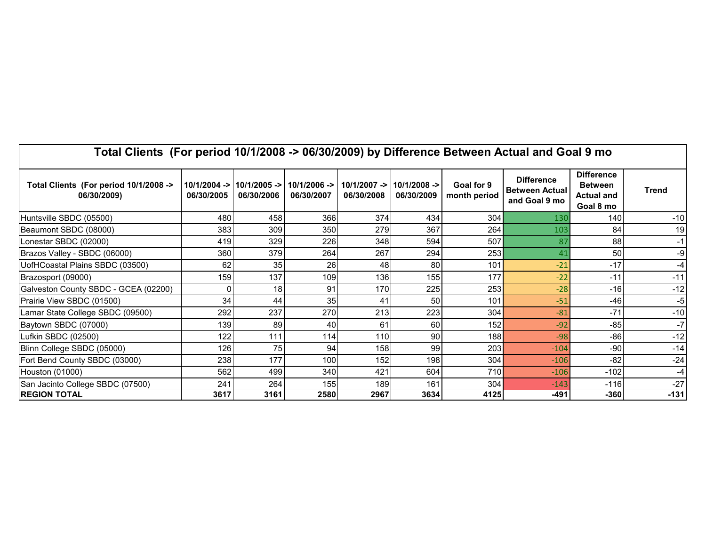| Total Clients (For period 10/1/2008 -> 06/30/2009) by Difference Between Actual and Goal 9 mo |                              |            |                                             |            |                                             |                            |                                                             |                                                                       |              |  |  |  |
|-----------------------------------------------------------------------------------------------|------------------------------|------------|---------------------------------------------|------------|---------------------------------------------|----------------------------|-------------------------------------------------------------|-----------------------------------------------------------------------|--------------|--|--|--|
| Total Clients (For period 10/1/2008 -><br>06/30/2009)                                         | $10/1/2004$ -><br>06/30/2005 | 06/30/2006 | 10/1/2005 ->  10/1/2006 ->   <br>06/30/2007 | 06/30/2008 | $10/1/2007$ -> $10/1/2008$ -><br>06/30/2009 | Goal for 9<br>month period | <b>Difference</b><br><b>Between Actual</b><br>and Goal 9 mo | <b>Difference</b><br><b>Between</b><br><b>Actual and</b><br>Goal 8 mo | <b>Trend</b> |  |  |  |
| Huntsville SBDC (05500)                                                                       | 480                          | 458        | 366                                         | 374        | 434                                         | 304                        | 130                                                         | 140                                                                   | $-10$        |  |  |  |
| Beaumont SBDC (08000)                                                                         | 383                          | 309        | 350                                         | 279        | 367                                         | 264                        | 103                                                         | 84                                                                    | 19           |  |  |  |
| Lonestar SBDC (02000)                                                                         | 419                          | 329        | 226                                         | 348        | 594                                         | 507                        | 87                                                          | 88                                                                    | -1           |  |  |  |
| Brazos Valley - SBDC (06000)                                                                  | 360                          | 379        | 264                                         | 267        | 294                                         | 253                        | 41                                                          | 50                                                                    | -9           |  |  |  |
| UofHCoastal Plains SBDC (03500)                                                               | 62                           | 35         | 26                                          | 48         | 80                                          | 101                        | $-21$                                                       | $-17$                                                                 | -4           |  |  |  |
| Brazosport (09000)                                                                            | 159                          | 137        | 109                                         | 136        | 155                                         | 177                        | $-22$                                                       | $-11$                                                                 | $-11$        |  |  |  |
| Galveston County SBDC - GCEA (02200)                                                          |                              | 18         | 91                                          | 170        | 225                                         | 253                        | $-28$                                                       | $-16$                                                                 | $-12$        |  |  |  |
| Prairie View SBDC (01500)                                                                     | 34                           | 44         | 35                                          | 41         | 50                                          | 101                        | $-51$                                                       | $-46$                                                                 | -5           |  |  |  |
| Lamar State College SBDC (09500)                                                              | 292                          | 237        | 270                                         | 213        | 223                                         | 304                        | $-81$                                                       | $-71$                                                                 | $-10$        |  |  |  |
| Baytown SBDC (07000)                                                                          | 139                          | 89         | 40                                          | 61         | 60                                          | 152                        | $-92$                                                       | $-85$                                                                 | $-7$         |  |  |  |
| Lufkin SBDC (02500)                                                                           | 122                          | 111        | 114                                         | 110        | 90                                          | 188                        | $-98$                                                       | $-86$                                                                 | $-12$        |  |  |  |
| Blinn College SBDC (05000)                                                                    | 126                          | 75         | 94                                          | 158        | 99                                          | 203                        | $-104$                                                      | -90                                                                   | $-14$        |  |  |  |
| Fort Bend County SBDC (03000)                                                                 | 238                          | 177        | 100                                         | 152        | 198                                         | 304                        | $-106$                                                      | $-82$                                                                 | $-24$        |  |  |  |
| Houston (01000)                                                                               | 562                          | 499        | 340                                         | 421        | 604                                         | 710                        | $-106$                                                      | $-102$                                                                | -4           |  |  |  |
| San Jacinto College SBDC (07500)                                                              | 241                          | 264        | 155                                         | 189        | 161                                         | 304                        | $-143$                                                      | $-116$                                                                | $-27$        |  |  |  |
| <b>REGION TOTAL</b>                                                                           | 3617                         | 3161       | 2580                                        | 2967       | 3634                                        | 4125                       | -491                                                        | $-360$                                                                | $-131$       |  |  |  |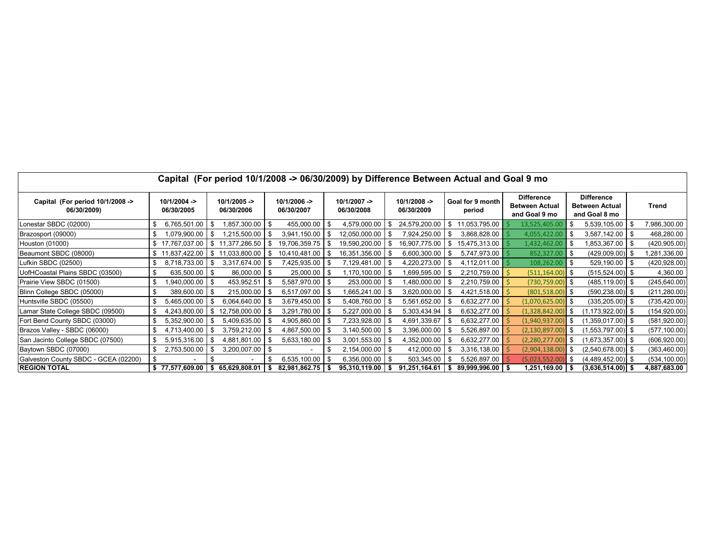| Capital (For period 10/1/2008 -> 06/30/2009) by Difference Between Actual and Goal 9 mo |  |                             |      |                             |      |                              |  |                             |    |                             |  |                            |                                                             |      |                                                             |      |               |
|-----------------------------------------------------------------------------------------|--|-----------------------------|------|-----------------------------|------|------------------------------|--|-----------------------------|----|-----------------------------|--|----------------------------|-------------------------------------------------------------|------|-------------------------------------------------------------|------|---------------|
| Capital (For period 10/1/2008 -><br>06/30/2009)                                         |  | $10/1/2004 -$<br>06/30/2005 |      | $10/1/2005 -$<br>06/30/2006 |      | $10/1/2006$ -><br>06/30/2007 |  | $10/1/2007 -$<br>06/30/2008 |    | $10/1/2008 -$<br>06/30/2009 |  | Goal for 9 month<br>period | <b>Difference</b><br><b>Between Actual</b><br>and Goal 9 mo |      | <b>Difference</b><br><b>Between Actual</b><br>and Goal 8 mo |      | Trend         |
| Lonestar SBDC (02000)                                                                   |  | 6,765,501.00                | -\$  | 1,857,300.00 \$             |      | 455,000.00 \$                |  | 4,579,000.00                |    | 24,579,200.00               |  | 11,053,795.00              | 13,525,405.00                                               |      | 5,539,105.00                                                | - \$ | 7,986,300.00  |
| Brazosport (09000)                                                                      |  | ,079,900.00                 | - \$ | 1,215,500.00                | -\$  | $3,941,150.00$ \ \$          |  | 12,050,000.00               | £  | 7,924,250.00                |  | 3,868,828.00               | 4,055,422.00                                                | \$   | 3,587,142.00                                                | l Si | 468,280.00    |
| Houston (01000)                                                                         |  | \$17,767,037.00             |      | \$11,377,286.50             | -\$  | 9,706,359.75                 |  | 19,590,200.00               |    | 16,907,775.00               |  | 15,475,313.00              | 1,432,462.00                                                | S.   | 1,853,367.00                                                | - SS | (420, 905.00) |
| Beaumont SBDC (08000)                                                                   |  | \$11,837,422.00             | \$   | 11,033,800.00               | -\$  | 10,410,481.00丨               |  | 16,351,356.00               |    | 6,600,300.00                |  | 5,747,973.00               | 852,327.00                                                  |      | $(429,009.00)$ \$                                           |      | 1,281,336.00  |
| Lufkin SBDC (02500)                                                                     |  | 8,718,733.00                | -\$  | 3,317,674.00                | -\$  | 7,425,935.00 \$              |  | 7,129,481.00                |    | 4,220,273.00                |  | 4,112,011.00               | 108,262.00                                                  | - \$ | $529,190.00$ \ \$                                           |      | (420, 928.00) |
| UofHCoastal Plains SBDC (03500)                                                         |  | 635,500.00                  | l \$ | 86,000.00                   | - \$ | $25,000.00$ \$               |  | 1,170,100.00                |    | 1,699,595.00                |  | 2,210,759.00               | $(511, 164.00)$ \$                                          |      | $(515, 524.00)$ \$                                          |      | 4,360.00      |
| Prairie View SBDC (01500)                                                               |  | ,940,000.00                 | - \$ | 453,952.51                  | \$   | 5,587,970.00 \$              |  | 253,000.00                  | -9 | ,480,000.00                 |  | 2,210,759.00               | $(730, 759.00)$ \$                                          |      | $(485, 119.00)$ \$                                          |      | (245, 640.00) |
| Blinn College SBDC (05000)                                                              |  | 389,600.00                  | - \$ | 215,000.00                  | - \$ | $6,517,097.00$ \\$           |  | l,665,241.00 <b>l</b>       |    | 3,620,000.00                |  | 4,421,518.00               | $(801,518.00)$ \$                                           |      | $(590, 238.00)$ \$                                          |      | (211, 280.00) |
| Huntsville SBDC (05500)                                                                 |  | 5,465,000.00                | - \$ | 6,064,640.00                | \$   | 3,679,450.00 \$              |  | 5,408,760.00                |    | 5,561,652.00                |  | 6,632,277.00               | (1,070,625.00)                                              |      | $(335, 205.00)$ \$                                          |      | (735, 420.00) |
| Lamar State College SBDC (09500)                                                        |  | 4,243,800.00                | -\$  | 12,758,000.00               | \$   | 3,291,780.00 \$              |  | 5,227,000.00                |    | 5,303,434.94                |  | 6,632,277.00               | (1,328,842.00)                                              |      | $(1, 173, 922.00)$ \$                                       |      | (154, 920.00) |
| Fort Bend County SBDC (03000)                                                           |  | 5,352,900.00                | - \$ | 5,409,635.00                |      | 4,905,860.00 \$              |  | 7,233,928.00                |    | 4,691,339.67                |  | 6,632,277.00               | (1,940,937.00)                                              |      | $(1,359,017.00)$ \$                                         |      | (581, 920.00) |
| Brazos Valley - SBDC (06000)                                                            |  | 4,713,400.00                | - \$ | 3,759,212.00                |      | 4,867,500.00 \$              |  | 3,140,500.00                |    | 3,396,000.00                |  | 5,526,897.00               | (2, 130, 897.00)                                            |      | (1,553,797.00) \$                                           |      | (577, 100.00) |
| San Jacinto College SBDC (07500)                                                        |  | 5,915,316.00                | -\$  | 4,881,801.00                | -\$  | 5,633,180.00 \$              |  | 3,001,553.00                | £  | 4,352,000.00                |  | 6,632,277.00               | (2,280,277.00)                                              |      | $(1,673,357.00)$ \$                                         |      | (606, 920.00) |
| Baytown SBDC (07000)                                                                    |  | 2,753,500.00                | -\$  | 3,200,007.00                | -\$  |                              |  | 2,154,000.00                |    | 412,000.00                  |  | 3,316,138.00               | (2,904,138.00)                                              |      | $(2,540,678.00)$ \$                                         |      | (363, 460.00) |
| Galveston County SBDC - GCEA (02200)                                                    |  |                             |      |                             |      | $6,535,100.00$ \ \$          |  | 6,356,000.00                |    | 503,345.00                  |  | 5,526,897.00               | (5,023,552.00)                                              |      | $(4,489,452.00)$ \$                                         |      | (534, 100.00) |
| <b>REGION TOTAL</b>                                                                     |  | \$77,577,609.00             | - 5  | 65,629,808.01               | - 56 | $82,981,862.75$ \$           |  | 95,310,119.00               |    | 91,251,164.61               |  | $89,999,996.00$   \$       | 1,251,169.00                                                |      | $(3,636,514.00)$ \$                                         |      | 4,887,683.00  |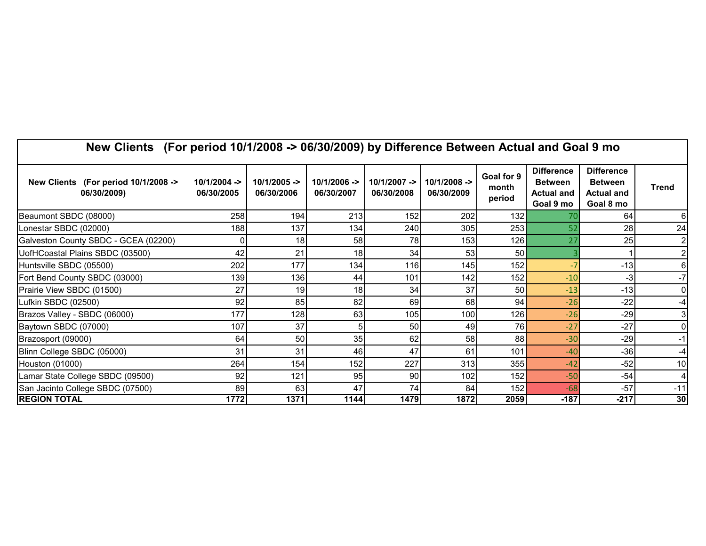| New Clients (For period 10/1/2008 -> 06/30/2009) by Difference Between Actual and Goal 9 mo |                              |                            |                              |                             |                            |                               |                                                                       |                                                                       |                |  |  |
|---------------------------------------------------------------------------------------------|------------------------------|----------------------------|------------------------------|-----------------------------|----------------------------|-------------------------------|-----------------------------------------------------------------------|-----------------------------------------------------------------------|----------------|--|--|
| New Clients (For period 10/1/2008 -><br>06/30/2009)                                         | $10/1/2004$ -><br>06/30/2005 | 10/1/2005 -><br>06/30/2006 | $10/1/2006$ -><br>06/30/2007 | $10/1/2007 -$<br>06/30/2008 | 10/1/2008 -><br>06/30/2009 | Goal for 9<br>month<br>period | <b>Difference</b><br><b>Between</b><br><b>Actual and</b><br>Goal 9 mo | <b>Difference</b><br><b>Between</b><br><b>Actual and</b><br>Goal 8 mo | <b>Trend</b>   |  |  |
| Beaumont SBDC (08000)                                                                       | 258                          | 194                        | 213                          | 152                         | 202                        | 132                           |                                                                       | 64                                                                    |                |  |  |
| Lonestar SBDC (02000)                                                                       | 188                          | 137                        | 134                          | 240                         | 305                        | 253                           | 52                                                                    | 28                                                                    | 24             |  |  |
| Galveston County SBDC - GCEA (02200)                                                        |                              | 18                         | 58                           | 78                          | 153                        | 126                           | 27                                                                    | 25                                                                    |                |  |  |
| UofHCoastal Plains SBDC (03500)                                                             | 42                           | 21                         | 18                           | 34                          | 53                         | 50                            |                                                                       |                                                                       |                |  |  |
| Huntsville SBDC (05500)                                                                     | 202                          | 177                        | 134                          | 116                         | 145                        | 152                           |                                                                       | $-13$                                                                 |                |  |  |
| Fort Bend County SBDC (03000)                                                               | 139                          | 136                        | 44                           | 101                         | 142                        | 152                           | $-10$                                                                 | -3                                                                    |                |  |  |
| Prairie View SBDC (01500)                                                                   | 27                           | 19                         | 18                           | 34                          | 37                         | 50                            | $-13$                                                                 | $-13$                                                                 |                |  |  |
| Lufkin SBDC (02500)                                                                         | 92                           | 85                         | 82                           | 69                          | 68                         | 94                            | $-26$                                                                 | $-22$                                                                 |                |  |  |
| Brazos Valley - SBDC (06000)                                                                | 177                          | 128                        | 63                           | 105                         | 100                        | 126                           | $-26$                                                                 | $-29$                                                                 |                |  |  |
| Baytown SBDC (07000)                                                                        | 107                          | 37                         | 5                            | 50                          | 49                         | 76                            | $-27$                                                                 | $-27$                                                                 |                |  |  |
| Brazosport (09000)                                                                          | 64                           | 50                         | 35                           | 62                          | 58                         | 88                            | $-30$                                                                 | $-29$                                                                 |                |  |  |
| Blinn College SBDC (05000)                                                                  | 31                           | 31                         | 46                           | 47                          | 61                         | 101                           | $-40$                                                                 | $-36$                                                                 | -4             |  |  |
| Houston (01000)                                                                             | 264                          | 154                        | 152                          | 227                         | 313                        | 355                           | $-42$                                                                 | $-52$                                                                 | 1 <sub>C</sub> |  |  |
| Lamar State College SBDC (09500)                                                            | 92                           | 121                        | 95                           | 90                          | 102                        | 152                           | $-50$                                                                 | $-54$                                                                 |                |  |  |
| San Jacinto College SBDC (07500)                                                            | 89                           | 63                         | 47                           | 74                          | 84                         | 152                           | $-68$                                                                 | $-57$                                                                 | $-11$          |  |  |
| <b>REGION TOTAL</b>                                                                         | 1772                         | 1371                       | 1144                         | 1479                        | 1872                       | 2059                          | $-187$                                                                | $-217$                                                                | 30             |  |  |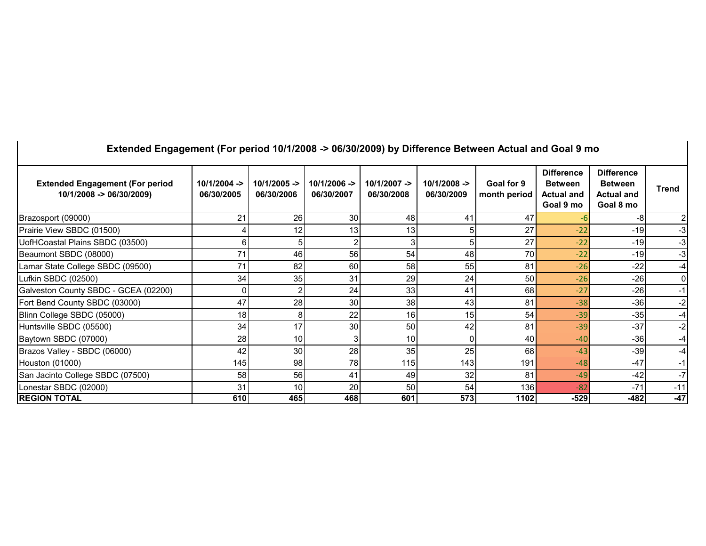| Extended Engagement (For period 10/1/2008 -> 06/30/2009) by Difference Between Actual and Goal 9 mo<br><b>Extended Engagement (For period</b><br>10/1/2008 -> 06/30/2009) | $10/1/2004$ -><br>06/30/2005 | $10/1/2005 -$<br>06/30/2006 | $10/1/2006 -$<br>06/30/2007 | $10/1/2007 -$<br>06/30/2008 | $10/1/2008 -$<br>06/30/2009 | Goal for 9<br>month period | <b>Difference</b><br><b>Between</b><br><b>Actual and</b><br>Goal 9 mo | <b>Difference</b><br><b>Between</b><br><b>Actual and</b><br>Goal 8 mo | <b>Trend</b> |
|---------------------------------------------------------------------------------------------------------------------------------------------------------------------------|------------------------------|-----------------------------|-----------------------------|-----------------------------|-----------------------------|----------------------------|-----------------------------------------------------------------------|-----------------------------------------------------------------------|--------------|
| Brazosport (09000)                                                                                                                                                        | 21                           | 26                          | 30 <sup>1</sup>             | 48                          | 41                          | 47                         |                                                                       |                                                                       |              |
| Prairie View SBDC (01500)                                                                                                                                                 |                              |                             | 13 <sup>l</sup>             | 13                          |                             | 27                         | $-22$                                                                 | $-19$                                                                 | -3           |
| UofHCoastal Plains SBDC (03500)                                                                                                                                           |                              |                             |                             |                             |                             | 27                         | $-22$                                                                 | $-19$                                                                 | -3           |
| Beaumont SBDC (08000)                                                                                                                                                     | 71                           | 46                          | <b>56</b>                   | 54                          | 48                          | 70                         | $-22$                                                                 | $-19$                                                                 | -3           |
| Lamar State College SBDC (09500)                                                                                                                                          | 71                           | 82                          | 60                          | 58                          | 55                          | 81                         | $-26$                                                                 | $-22$                                                                 | -4           |
| Lufkin SBDC (02500)                                                                                                                                                       | 34                           | 35                          | 31                          | 29                          | 24                          | 50                         | $-26$                                                                 | $-26$                                                                 | 0            |
| Galveston County SBDC - GCEA (02200)                                                                                                                                      |                              |                             | 24                          | 33                          | 41                          | 68                         | $-27$                                                                 | $-26$                                                                 | $-1$         |
| Fort Bend County SBDC (03000)                                                                                                                                             | 47                           | 28                          | 30                          | 38                          | 43                          | 81                         | $-38$                                                                 | $-36$                                                                 | $-2$         |
| Blinn College SBDC (05000)                                                                                                                                                | 18                           |                             | 22                          | 16                          | 15                          | 54                         | $-39$                                                                 | $-35$                                                                 | -4           |
| Huntsville SBDC (05500)                                                                                                                                                   | 34                           | 17                          | 30                          | 50                          | 42                          | 81                         | $-39$                                                                 | $-37$                                                                 | $-2$         |
| Baytown SBDC (07000)                                                                                                                                                      | 28                           | 10                          |                             | 10                          |                             | 40                         | $-40$                                                                 | $-36$                                                                 | -4           |
| Brazos Valley - SBDC (06000)                                                                                                                                              | 42                           | 30                          | 28                          | 35                          | 25                          | 68                         | $-43$                                                                 | $-39$                                                                 | $-4$         |
| Houston (01000)                                                                                                                                                           | 145                          | 98                          | 78                          | 115                         | 143                         | 191                        | $-48$                                                                 | $-47$                                                                 | -1           |
| San Jacinto College SBDC (07500)                                                                                                                                          | 58                           | 56                          | 41                          | 49                          | 32                          | 81                         | $-49$                                                                 | $-42$                                                                 | $-7$         |
| Lonestar SBDC (02000)                                                                                                                                                     | 31                           | 10                          | 20                          | 50                          | 54                          | 136                        | $-82$                                                                 | $-71$                                                                 | $-11$        |
| <b>REGION TOTAL</b>                                                                                                                                                       | 610                          | 465                         | 468                         | 601                         | 573                         | 1102                       | $-529$                                                                | -482                                                                  | $-47$        |